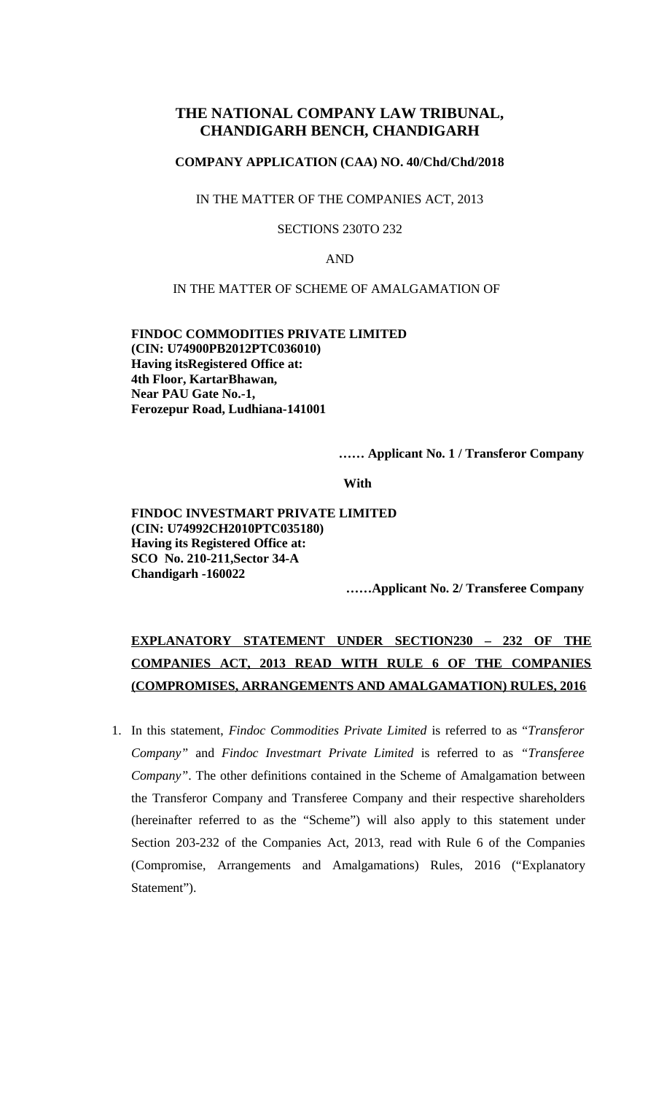# **THE NATIONAL COMPANY LAW TRIBUNAL, CHANDIGARH BENCH, CHANDIGARH**

# **COMPANY APPLICATION (CAA) NO. 40/Chd/Chd/2018**

IN THE MATTER OF THE COMPANIES ACT, 2013

SECTIONS 230TO 232

AND

#### IN THE MATTER OF SCHEME OF AMALGAMATION OF

**FINDOC COMMODITIES PRIVATE LIMITED (CIN: U74900PB2012PTC036010) Having itsRegistered Office at: 4th Floor, KartarBhawan, Near PAU Gate No.-1, Ferozepur Road, Ludhiana-141001**

**…… Applicant No. 1 / Transferor Company** 

**With** 

**FINDOC INVESTMART PRIVATE LIMITED (CIN: U74992CH2010PTC035180) Having its Registered Office at: SCO No. 210-211,Sector 34-A Chandigarh -160022**

**……Applicant No. 2/ Transferee Company** 

# **EXPLANATORY STATEMENT UNDER SECTION230 – 232 OF THE COMPANIES ACT, 2013 READ WITH RULE 6 OF THE COMPANIES (COMPROMISES, ARRANGEMENTS AND AMALGAMATION) RULES, 2016**

1. In this statement, *Findoc Commodities Private Limited* is referred to as "*Transferor Company"* and *Findoc Investmart Private Limited* is referred to as *"Transferee Company"*. The other definitions contained in the Scheme of Amalgamation between the Transferor Company and Transferee Company and their respective shareholders (hereinafter referred to as the "Scheme") will also apply to this statement under Section 203-232 of the Companies Act, 2013, read with Rule 6 of the Companies (Compromise, Arrangements and Amalgamations) Rules, 2016 ("Explanatory Statement").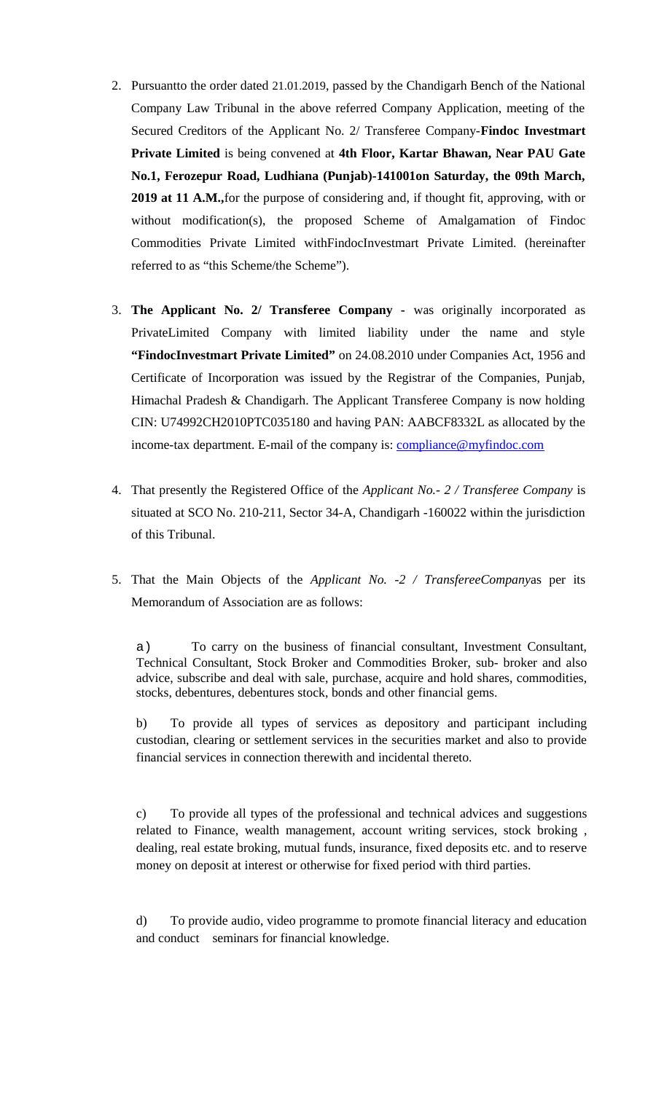- 2. Pursuantto the order dated 21.01.2019, passed by the Chandigarh Bench of the National Company Law Tribunal in the above referred Company Application, meeting of the Secured Creditors of the Applicant No. 2/ Transferee Company-**Findoc Investmart Private Limited** is being convened at **4th Floor, Kartar Bhawan, Near PAU Gate No.1, Ferozepur Road, Ludhiana (Punjab)-141001on Saturday, the 09th March, 2019 at 11 A.M.,**for the purpose of considering and, if thought fit, approving, with or without modification(s), the proposed Scheme of Amalgamation of Findoc Commodities Private Limited withFindocInvestmart Private Limited. (hereinafter referred to as "this Scheme/the Scheme").
- 3. **The Applicant No. 2/ Transferee Company** was originally incorporated as PrivateLimited Company with limited liability under the name and style **"FindocInvestmart Private Limited"** on 24.08.2010 under Companies Act, 1956 and Certificate of Incorporation was issued by the Registrar of the Companies, Punjab, Himachal Pradesh & Chandigarh. The Applicant Transferee Company is now holding CIN: U74992CH2010PTC035180 and having PAN: AABCF8332L as allocated by the income-tax department. E-mail of the company is: [compliance@myfindoc.com](mailto:compliance@myfindoc.com)
- 4. That presently the Registered Office of the *Applicant No.- 2 / Transferee Company* is situated at SCO No. 210-211, Sector 34-A, Chandigarh -160022 within the jurisdiction of this Tribunal.
- 5. That the Main Objects of the *Applicant No. -2 / TransfereeCompany*as per its Memorandum of Association are as follows:

a) To carry on the business of financial consultant, Investment Consultant, Technical Consultant, Stock Broker and Commodities Broker, sub- broker and also advice, subscribe and deal with sale, purchase, acquire and hold shares, commodities, stocks, debentures, debentures stock, bonds and other financial gems.

b) To provide all types of services as depository and participant including custodian, clearing or settlement services in the securities market and also to provide financial services in connection therewith and incidental thereto.

c) To provide all types of the professional and technical advices and suggestions related to Finance, wealth management, account writing services, stock broking , dealing, real estate broking, mutual funds, insurance, fixed deposits etc. and to reserve money on deposit at interest or otherwise for fixed period with third parties.

d) To provide audio, video programme to promote financial literacy and education and conduct seminars for financial knowledge.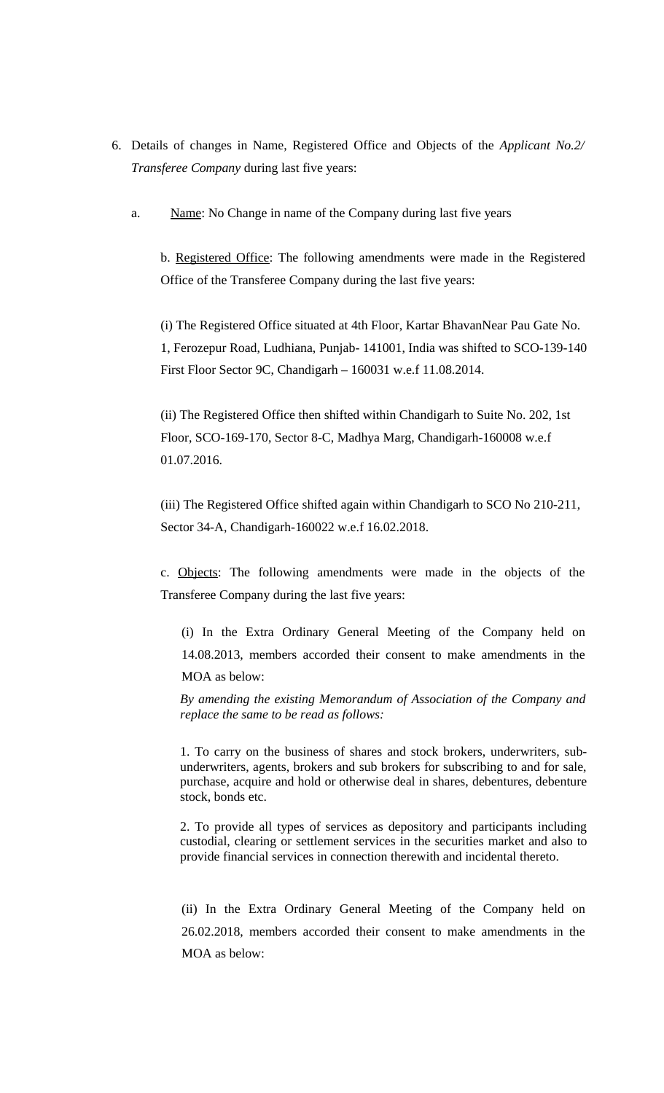- 6. Details of changes in Name, Registered Office and Objects of the *Applicant No.2/ Transferee Company* during last five years:
	- a. Name: No Change in name of the Company during last five years

b. Registered Office: The following amendments were made in the Registered Office of the Transferee Company during the last five years:

(i) The Registered Office situated at 4th Floor, Kartar BhavanNear Pau Gate No. 1, Ferozepur Road, Ludhiana, Punjab- 141001, India was shifted to SCO-139-140 First Floor Sector 9C, Chandigarh – 160031 w.e.f 11.08.2014.

(ii) The Registered Office then shifted within Chandigarh to Suite No. 202, 1st Floor, SCO-169-170, Sector 8-C, Madhya Marg, Chandigarh-160008 w.e.f 01.07.2016.

(iii) The Registered Office shifted again within Chandigarh to SCO No 210-211, Sector 34-A, Chandigarh-160022 w.e.f 16.02.2018.

c. Objects: The following amendments were made in the objects of the Transferee Company during the last five years:

(i) In the Extra Ordinary General Meeting of the Company held on 14.08.2013, members accorded their consent to make amendments in the

MOA as below:

*By amending the existing Memorandum of Association of the Company and replace the same to be read as follows:*

1. To carry on the business of shares and stock brokers, underwriters, subunderwriters, agents, brokers and sub brokers for subscribing to and for sale, purchase, acquire and hold or otherwise deal in shares, debentures, debenture stock, bonds etc.

2. To provide all types of services as depository and participants including custodial, clearing or settlement services in the securities market and also to provide financial services in connection therewith and incidental thereto.

(ii) In the Extra Ordinary General Meeting of the Company held on 26.02.2018, members accorded their consent to make amendments in the MOA as below: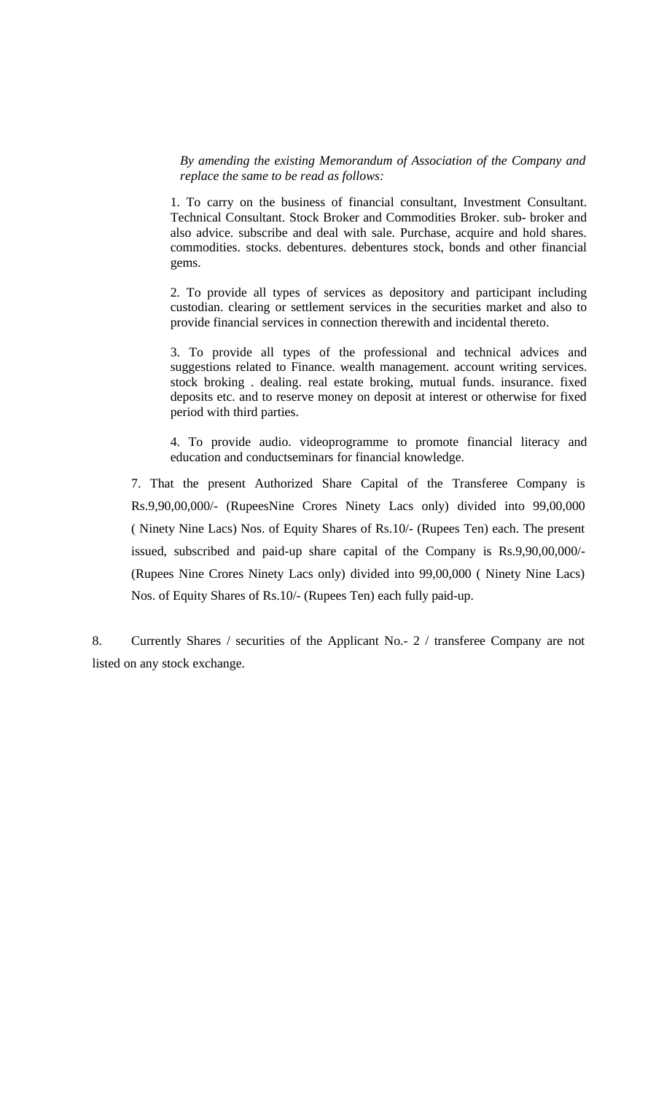*By amending the existing Memorandum of Association of the Company and replace the same to be read as follows:*

1. To carry on the business of financial consultant, Investment Consultant. Technical Consultant. Stock Broker and Commodities Broker. sub- broker and also advice. subscribe and deal with sale. Purchase, acquire and hold shares. commodities. stocks. debentures. debentures stock, bonds and other financial gems.

2. To provide all types of services as depository and participant including custodian. clearing or settlement services in the securities market and also to provide financial services in connection therewith and incidental thereto.

3. To provide all types of the professional and technical advices and suggestions related to Finance. wealth management. account writing services. stock broking . dealing. real estate broking, mutual funds. insurance. fixed deposits etc. and to reserve money on deposit at interest or otherwise for fixed period with third parties.

4. To provide audio. videoprogramme to promote financial literacy and education and conductseminars for financial knowledge.

7. That the present Authorized Share Capital of the Transferee Company is Rs.9,90,00,000/- (RupeesNine Crores Ninety Lacs only) divided into 99,00,000 ( Ninety Nine Lacs) Nos. of Equity Shares of Rs.10/- (Rupees Ten) each. The present issued, subscribed and paid-up share capital of the Company is Rs.9,90,00,000/- (Rupees Nine Crores Ninety Lacs only) divided into 99,00,000 ( Ninety Nine Lacs) Nos. of Equity Shares of Rs.10/- (Rupees Ten) each fully paid-up.

8. Currently Shares / securities of the Applicant No.- 2 / transferee Company are not listed on any stock exchange.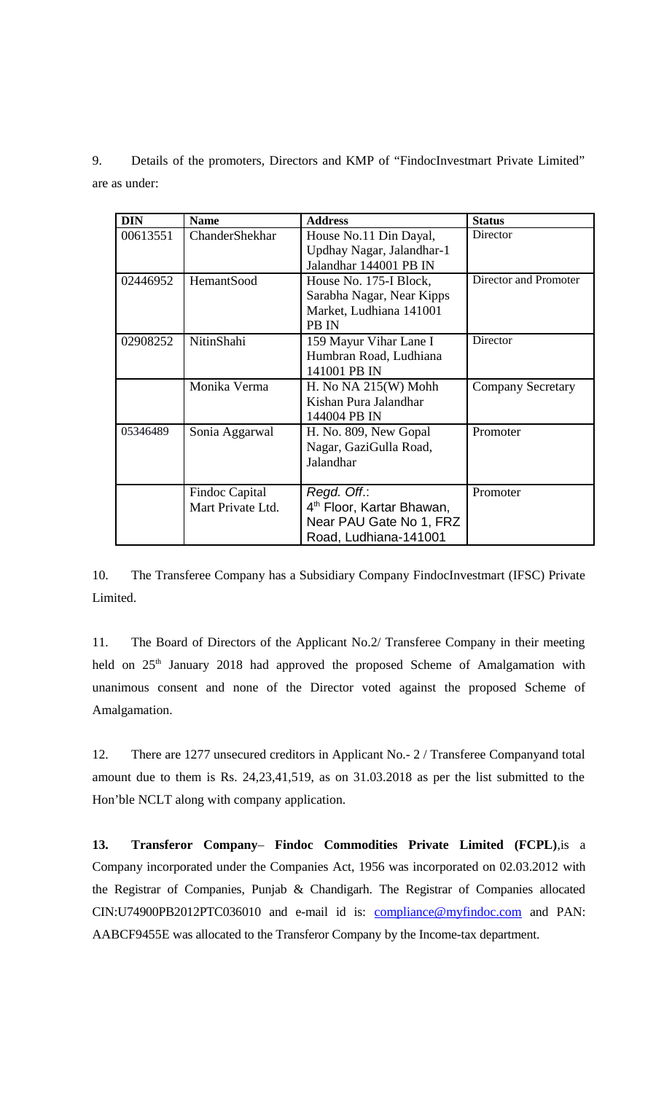9. Details of the promoters, Directors and KMP of "FindocInvestmart Private Limited" are as under:

| <b>DIN</b> | <b>Name</b>           | <b>Address</b>                        | <b>Status</b>            |
|------------|-----------------------|---------------------------------------|--------------------------|
| 00613551   | ChanderShekhar        | House No.11 Din Dayal,                | <b>Director</b>          |
|            |                       | Updhay Nagar, Jalandhar-1             |                          |
|            |                       | Jalandhar 144001 PB IN                |                          |
| 02446952   | <b>HemantSood</b>     | House No. 175-I Block,                | Director and Promoter    |
|            |                       | Sarabha Nagar, Near Kipps             |                          |
|            |                       | Market, Ludhiana 141001               |                          |
|            |                       | PB IN                                 |                          |
| 02908252   | NitinShahi            | 159 Mayur Vihar Lane I                | Director                 |
|            |                       | Humbran Road, Ludhiana                |                          |
|            |                       | 141001 PB IN                          |                          |
|            | Monika Verma          | H. No $NA$ 215(W) Mohh                | <b>Company Secretary</b> |
|            |                       | Kishan Pura Jalandhar                 |                          |
|            |                       | 144004 PB IN                          |                          |
| 05346489   | Sonia Aggarwal        | H. No. 809, New Gopal                 | Promoter                 |
|            |                       | Nagar, GaziGulla Road,                |                          |
|            |                       | Jalandhar                             |                          |
|            |                       |                                       |                          |
|            | <b>Findoc Capital</b> | Regd. Off.:                           | Promoter                 |
|            | Mart Private Ltd.     | 4 <sup>th</sup> Floor, Kartar Bhawan, |                          |
|            |                       | Near PAU Gate No 1, FRZ               |                          |
|            |                       | Road, Ludhiana-141001                 |                          |

10. The Transferee Company has a Subsidiary Company FindocInvestmart (IFSC) Private Limited.

11. The Board of Directors of the Applicant No.2/ Transferee Company in their meeting held on 25<sup>th</sup> January 2018 had approved the proposed Scheme of Amalgamation with unanimous consent and none of the Director voted against the proposed Scheme of Amalgamation.

12. There are 1277 unsecured creditors in Applicant No.- 2 / Transferee Companyand total amount due to them is Rs. 24,23,41,519, as on 31.03.2018 as per the list submitted to the Hon'ble NCLT along with company application.

**13. Transferor Company**– **Findoc Commodities Private Limited (FCPL)**,is a Company incorporated under the Companies Act, 1956 was incorporated on 02.03.2012 with the Registrar of Companies, Punjab & Chandigarh. The Registrar of Companies allocated CIN:U74900PB2012PTC036010 and e-mail id is: [compliance@myfindoc.com](mailto:compliance@myfindoc.com) and PAN: AABCF9455E was allocated to the Transferor Company by the Income-tax department.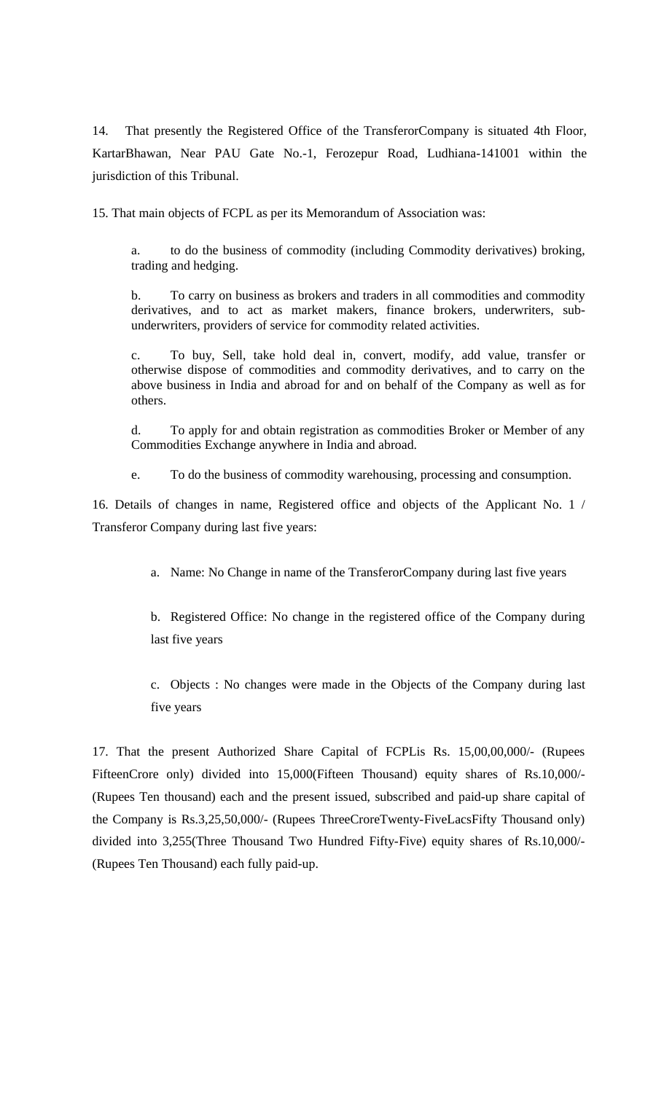14. That presently the Registered Office of the TransferorCompany is situated 4th Floor, KartarBhawan, Near PAU Gate No.-1, Ferozepur Road, Ludhiana-141001 within the jurisdiction of this Tribunal.

15. That main objects of FCPL as per its Memorandum of Association was:

a. to do the business of commodity (including Commodity derivatives) broking, trading and hedging.

b. To carry on business as brokers and traders in all commodities and commodity derivatives, and to act as market makers, finance brokers, underwriters, subunderwriters, providers of service for commodity related activities.

c. To buy, Sell, take hold deal in, convert, modify, add value, transfer or otherwise dispose of commodities and commodity derivatives, and to carry on the above business in India and abroad for and on behalf of the Company as well as for others.

d. To apply for and obtain registration as commodities Broker or Member of any Commodities Exchange anywhere in India and abroad.

e. To do the business of commodity warehousing, processing and consumption.

16. Details of changes in name, Registered office and objects of the Applicant No. 1 / Transferor Company during last five years:

a. Name: No Change in name of the TransferorCompany during last five years

b. Registered Office: No change in the registered office of the Company during last five years

c. Objects : No changes were made in the Objects of the Company during last five years

17. That the present Authorized Share Capital of FCPLis Rs. 15,00,00,000/- (Rupees FifteenCrore only) divided into 15,000(Fifteen Thousand) equity shares of Rs.10,000/- (Rupees Ten thousand) each and the present issued, subscribed and paid-up share capital of the Company is Rs.3,25,50,000/- (Rupees ThreeCroreTwenty-FiveLacsFifty Thousand only) divided into 3,255(Three Thousand Two Hundred Fifty-Five) equity shares of Rs.10,000/- (Rupees Ten Thousand) each fully paid-up.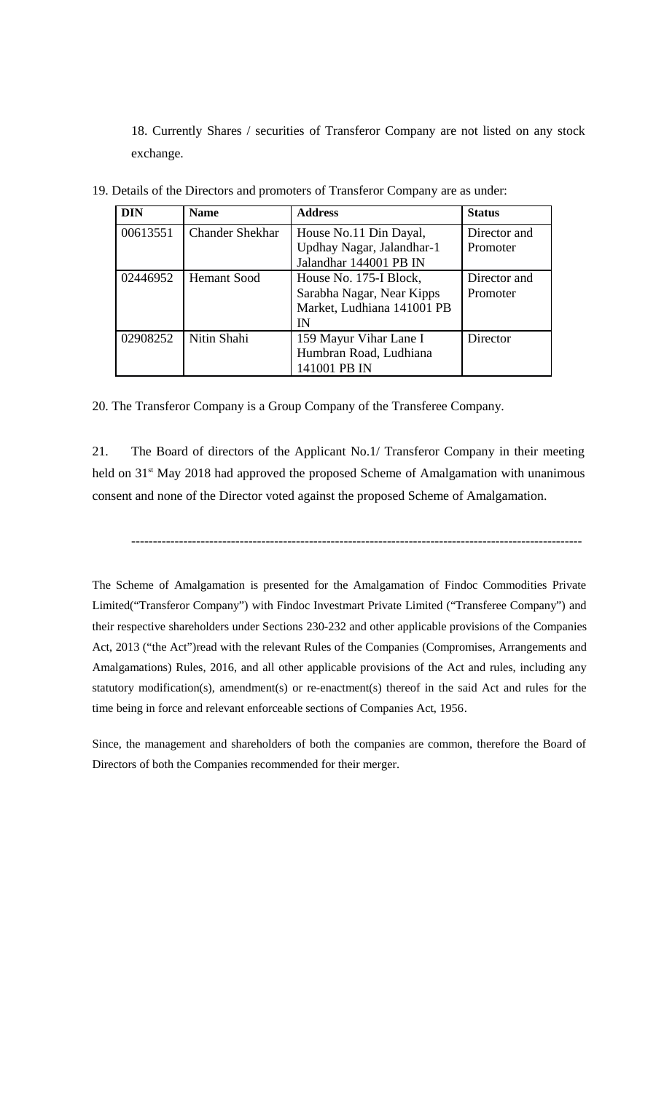18. Currently Shares / securities of Transferor Company are not listed on any stock exchange.

| <b>DIN</b> | <b>Name</b>            | <b>Address</b>             | <b>Status</b> |
|------------|------------------------|----------------------------|---------------|
| 00613551   | <b>Chander Shekhar</b> | House No.11 Din Dayal,     | Director and  |
|            |                        | Updhay Nagar, Jalandhar-1  | Promoter      |
|            |                        | Jalandhar 144001 PB IN     |               |
| 02446952   | <b>Hemant Sood</b>     | House No. 175-I Block,     | Director and  |
|            |                        | Sarabha Nagar, Near Kipps  | Promoter      |
|            |                        | Market, Ludhiana 141001 PB |               |
|            |                        | IN                         |               |
| 02908252   | Nitin Shahi            | 159 Mayur Vihar Lane I     | Director      |
|            |                        | Humbran Road, Ludhiana     |               |
|            |                        | 141001 PB IN               |               |

19. Details of the Directors and promoters of Transferor Company are as under:

20. The Transferor Company is a Group Company of the Transferee Company.

21. The Board of directors of the Applicant No.1/ Transferor Company in their meeting held on 31<sup>st</sup> May 2018 had approved the proposed Scheme of Amalgamation with unanimous consent and none of the Director voted against the proposed Scheme of Amalgamation.

--------------------------------------------------------------------------------------------------------

The Scheme of Amalgamation is presented for the Amalgamation of Findoc Commodities Private Limited("Transferor Company") with Findoc Investmart Private Limited ("Transferee Company") and their respective shareholders under Sections 230-232 and other applicable provisions of the Companies Act, 2013 ("the Act")read with the relevant Rules of the Companies (Compromises, Arrangements and Amalgamations) Rules, 2016, and all other applicable provisions of the Act and rules, including any statutory modification(s), amendment(s) or re-enactment(s) thereof in the said Act and rules for the time being in force and relevant enforceable sections of Companies Act, 1956.

Since, the management and shareholders of both the companies are common, therefore the Board of Directors of both the Companies recommended for their merger.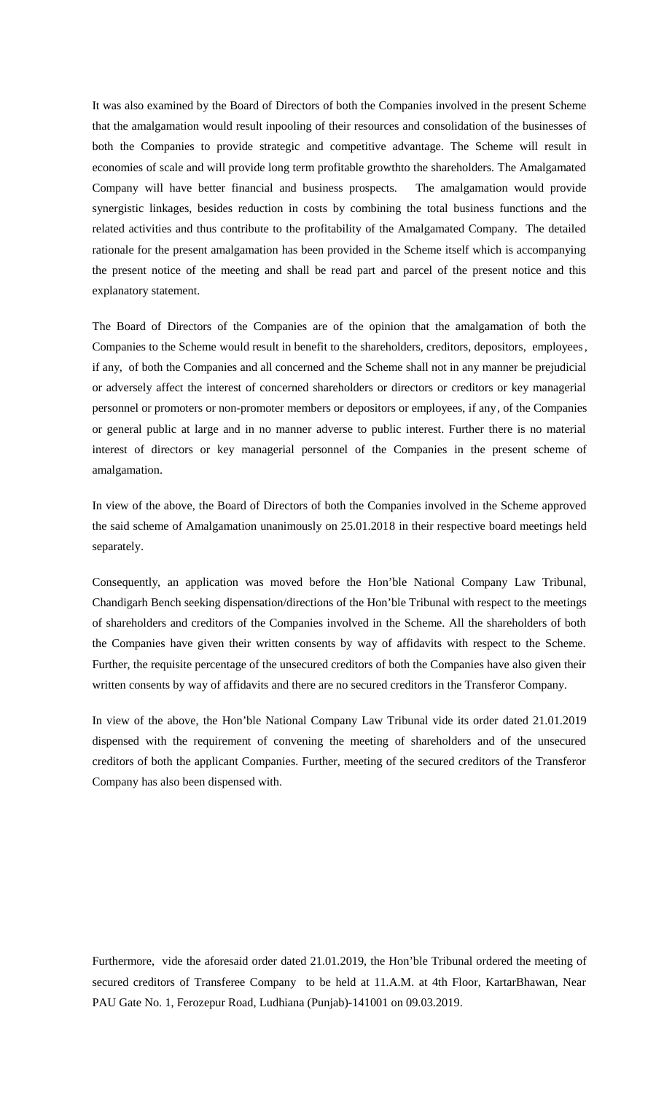It was also examined by the Board of Directors of both the Companies involved in the present Scheme that the amalgamation would result inpooling of their resources and consolidation of the businesses of both the Companies to provide strategic and competitive advantage. The Scheme will result in economies of scale and will provide long term profitable growthto the shareholders. The Amalgamated Company will have better financial and business prospects. The amalgamation would provide synergistic linkages, besides reduction in costs by combining the total business functions and the related activities and thus contribute to the profitability of the Amalgamated Company. The detailed rationale for the present amalgamation has been provided in the Scheme itself which is accompanying the present notice of the meeting and shall be read part and parcel of the present notice and this explanatory statement.

The Board of Directors of the Companies are of the opinion that the amalgamation of both the Companies to the Scheme would result in benefit to the shareholders, creditors, depositors, employees, if any, of both the Companies and all concerned and the Scheme shall not in any manner be prejudicial or adversely affect the interest of concerned shareholders or directors or creditors or key managerial personnel or promoters or non-promoter members or depositors or employees, if any, of the Companies or general public at large and in no manner adverse to public interest. Further there is no material interest of directors or key managerial personnel of the Companies in the present scheme of amalgamation.

In view of the above, the Board of Directors of both the Companies involved in the Scheme approved the said scheme of Amalgamation unanimously on 25.01.2018 in their respective board meetings held separately.

Consequently, an application was moved before the Hon'ble National Company Law Tribunal, Chandigarh Bench seeking dispensation/directions of the Hon'ble Tribunal with respect to the meetings of shareholders and creditors of the Companies involved in the Scheme. All the shareholders of both the Companies have given their written consents by way of affidavits with respect to the Scheme. Further, the requisite percentage of the unsecured creditors of both the Companies have also given their written consents by way of affidavits and there are no secured creditors in the Transferor Company.

In view of the above, the Hon'ble National Company Law Tribunal vide its order dated 21.01.2019 dispensed with the requirement of convening the meeting of shareholders and of the unsecured creditors of both the applicant Companies. Further, meeting of the secured creditors of the Transferor Company has also been dispensed with.

Furthermore, vide the aforesaid order dated 21.01.2019, the Hon'ble Tribunal ordered the meeting of secured creditors of Transferee Company to be held at 11.A.M. at 4th Floor, KartarBhawan, Near PAU Gate No. 1, Ferozepur Road, Ludhiana (Punjab)-141001 on 09.03.2019.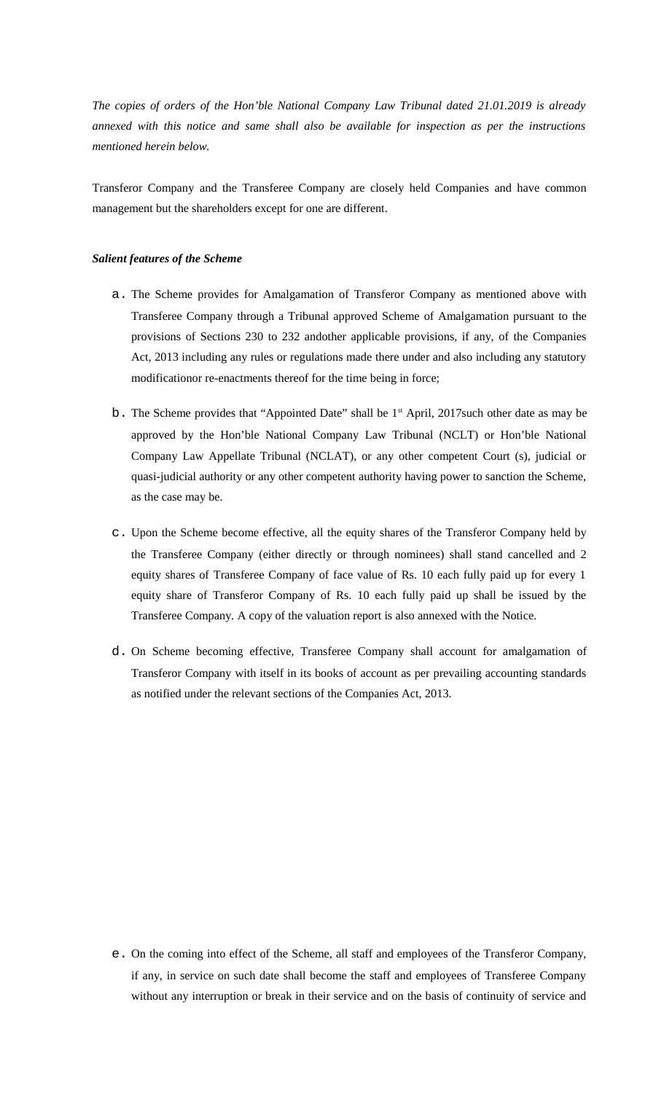*The copies of orders of the Hon'ble National Company Law Tribunal dated 21.01.2019 is already annexed with this notice and same shall also be available for inspection as per the instructions mentioned herein below.*

Transferor Company and the Transferee Company are closely held Companies and have common management but the shareholders except for one are different.

#### *Salient features of the Scheme*

- a. The Scheme provides for Amalgamation of Transferor Company as mentioned above with Transferee Company through a Tribunal approved Scheme of Amalgamation pursuant to the provisions of Sections 230 to 232 andother applicable provisions, if any, of the Companies Act, 2013 including any rules or regulations made there under and also including any statutory modificationor re-enactments thereof for the time being in force;
- $b$ . The Scheme provides that "Appointed Date" shall be  $1<sup>st</sup>$  April, 2017such other date as may be approved by the Hon'ble National Company Law Tribunal (NCLT) or Hon'ble National Company Law Appellate Tribunal (NCLAT), or any other competent Court (s), judicial or quasi-judicial authority or any other competent authority having power to sanction the Scheme, as the case may be.
- c. Upon the Scheme become effective, all the equity shares of the Transferor Company held by the Transferee Company (either directly or through nominees) shall stand cancelled and 2 equity shares of Transferee Company of face value of Rs. 10 each fully paid up for every 1 equity share of Transferor Company of Rs. 10 each fully paid up shall be issued by the Transferee Company. A copy of the valuation report is also annexed with the Notice.
- d. On Scheme becoming effective, Transferee Company shall account for amalgamation of Transferor Company with itself in its books of account as per prevailing accounting standards as notified under the relevant sections of the Companies Act, 2013.

e. On the coming into effect of the Scheme, all staff and employees of the Transferor Company, if any, in service on such date shall become the staff and employees of Transferee Company without any interruption or break in their service and on the basis of continuity of service and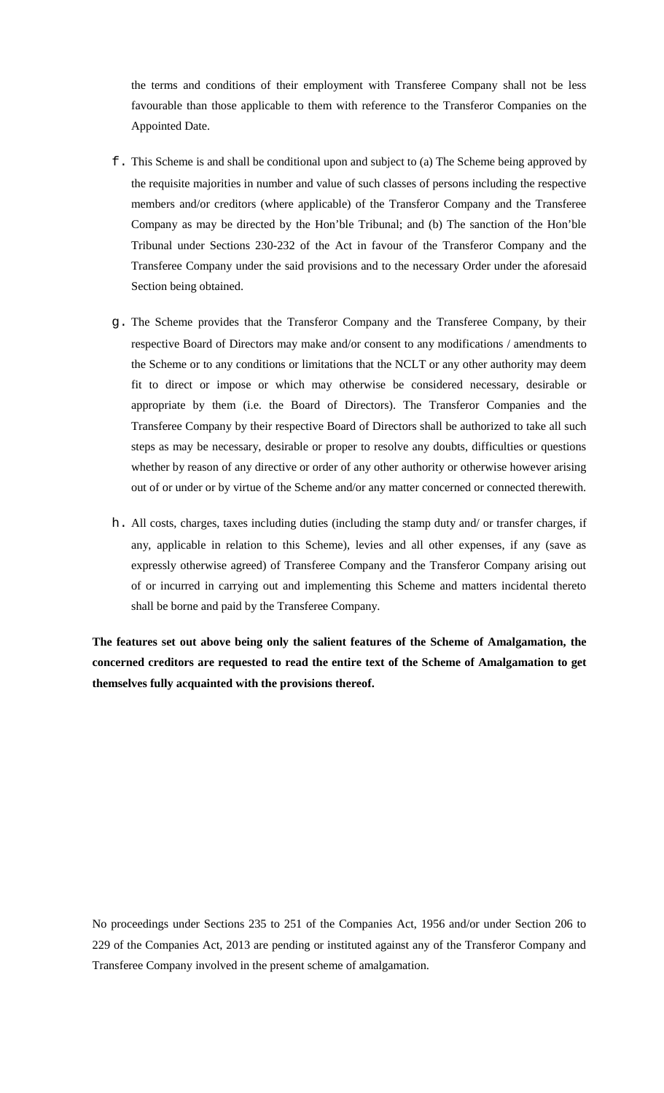the terms and conditions of their employment with Transferee Company shall not be less favourable than those applicable to them with reference to the Transferor Companies on the Appointed Date.

- f. This Scheme is and shall be conditional upon and subject to (a) The Scheme being approved by the requisite majorities in number and value of such classes of persons including the respective members and/or creditors (where applicable) of the Transferor Company and the Transferee Company as may be directed by the Hon'ble Tribunal; and (b) The sanction of the Hon'ble Tribunal under Sections 230-232 of the Act in favour of the Transferor Company and the Transferee Company under the said provisions and to the necessary Order under the aforesaid Section being obtained.
- g. The Scheme provides that the Transferor Company and the Transferee Company, by their respective Board of Directors may make and/or consent to any modifications / amendments to the Scheme or to any conditions or limitations that the NCLT or any other authority may deem fit to direct or impose or which may otherwise be considered necessary, desirable or appropriate by them (i.e. the Board of Directors). The Transferor Companies and the Transferee Company by their respective Board of Directors shall be authorized to take all such steps as may be necessary, desirable or proper to resolve any doubts, difficulties or questions whether by reason of any directive or order of any other authority or otherwise however arising out of or under or by virtue of the Scheme and/or any matter concerned or connected therewith.
- h. All costs, charges, taxes including duties (including the stamp duty and/ or transfer charges, if any, applicable in relation to this Scheme), levies and all other expenses, if any (save as expressly otherwise agreed) of Transferee Company and the Transferor Company arising out of or incurred in carrying out and implementing this Scheme and matters incidental thereto shall be borne and paid by the Transferee Company.

**The features set out above being only the salient features of the Scheme of Amalgamation, the concerned creditors are requested to read the entire text of the Scheme of Amalgamation to get themselves fully acquainted with the provisions thereof.**

No proceedings under Sections 235 to 251 of the Companies Act, 1956 and/or under Section 206 to 229 of the Companies Act, 2013 are pending or instituted against any of the Transferor Company and Transferee Company involved in the present scheme of amalgamation.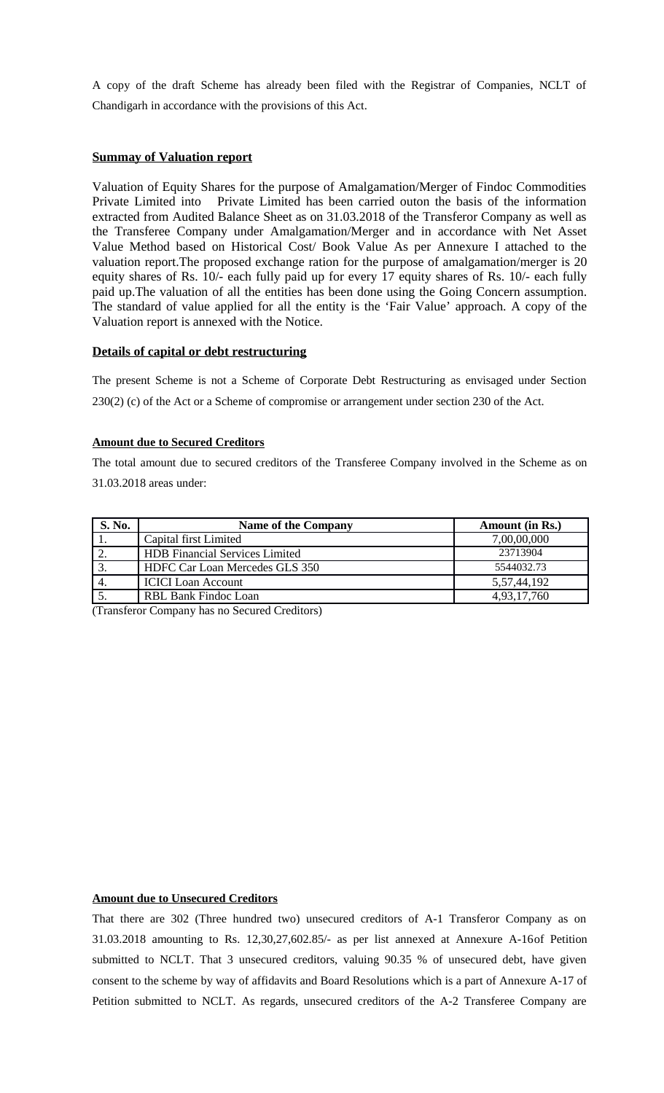A copy of the draft Scheme has already been filed with the Registrar of Companies, NCLT of Chandigarh in accordance with the provisions of this Act.

## **Summay of Valuation report**

Valuation of Equity Shares for the purpose of Amalgamation/Merger of Findoc Commodities Private Limited into Private Limited has been carried outon the basis of the information extracted from Audited Balance Sheet as on 31.03.2018 of the Transferor Company as well as the Transferee Company under Amalgamation/Merger and in accordance with Net Asset Value Method based on Historical Cost/ Book Value As per Annexure I attached to the valuation report.The proposed exchange ration for the purpose of amalgamation/merger is 20 equity shares of Rs. 10/- each fully paid up for every 17 equity shares of Rs. 10/- each fully paid up.The valuation of all the entities has been done using the Going Concern assumption. The standard of value applied for all the entity is the 'Fair Value' approach. A copy of the Valuation report is annexed with the Notice.

### **Details of capital or debt restructuring**

The present Scheme is not a Scheme of Corporate Debt Restructuring as envisaged under Section 230(2) (c) of the Act or a Scheme of compromise or arrangement under section 230 of the Act.

#### **Amount due to Secured Creditors**

The total amount due to secured creditors of the Transferee Company involved in the Scheme as on 31.03.2018 areas under:

| S. No. | <b>Name of the Company</b>            | <b>Amount (in Rs.)</b> |
|--------|---------------------------------------|------------------------|
|        | Capital first Limited                 | 7,00,00,000            |
|        | <b>HDB</b> Financial Services Limited | 23713904               |
|        | HDFC Car Loan Mercedes GLS 350        | 5544032.73             |
|        | <b>ICICI Loan Account</b>             | 5,57,44,192            |
|        | RBL Bank Findoc Loan                  | 4,93,17,760            |

(Transferor Company has no Secured Creditors)

## **Amount due to Unsecured Creditors**

That there are 302 (Three hundred two) unsecured creditors of A-1 Transferor Company as on 31.03.2018 amounting to Rs. 12,30,27,602.85/- as per list annexed at Annexure A-16of Petition submitted to NCLT. That 3 unsecured creditors, valuing 90.35 % of unsecured debt, have given consent to the scheme by way of affidavits and Board Resolutions which is a part of Annexure A-17 of Petition submitted to NCLT. As regards, unsecured creditors of the A-2 Transferee Company are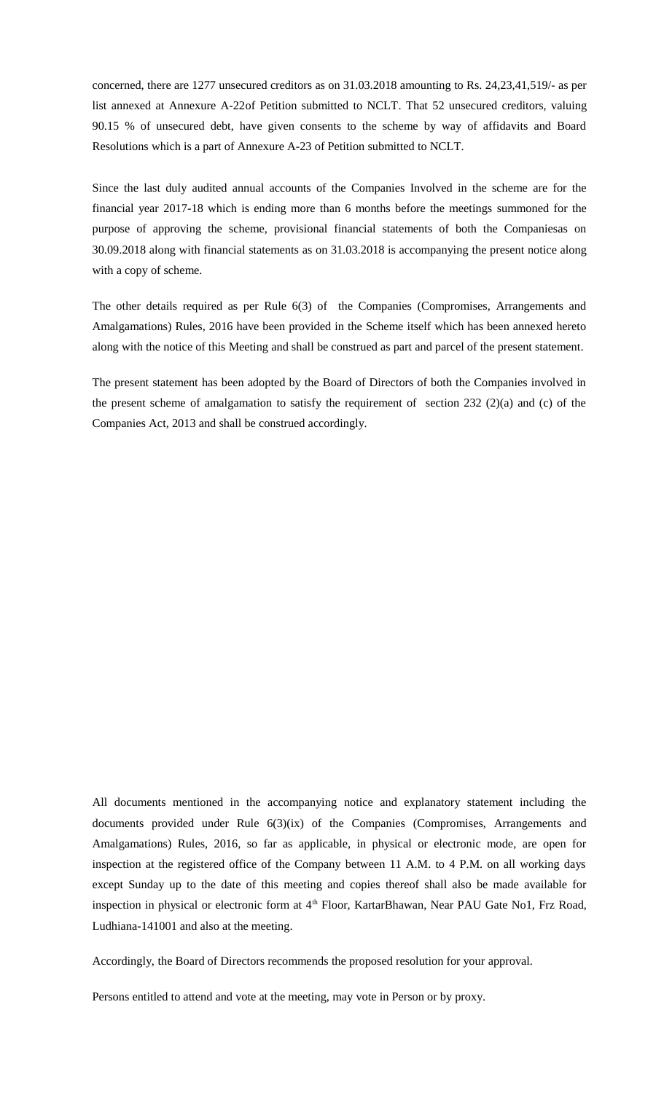concerned, there are 1277 unsecured creditors as on 31.03.2018 amounting to Rs. 24,23,41,519/- as per list annexed at Annexure A-22of Petition submitted to NCLT. That 52 unsecured creditors, valuing 90.15 % of unsecured debt, have given consents to the scheme by way of affidavits and Board Resolutions which is a part of Annexure A-23 of Petition submitted to NCLT.

Since the last duly audited annual accounts of the Companies Involved in the scheme are for the financial year 2017-18 which is ending more than 6 months before the meetings summoned for the purpose of approving the scheme, provisional financial statements of both the Companiesas on 30.09.2018 along with financial statements as on 31.03.2018 is accompanying the present notice along with a copy of scheme.

The other details required as per Rule 6(3) of the Companies (Compromises, Arrangements and Amalgamations) Rules, 2016 have been provided in the Scheme itself which has been annexed hereto along with the notice of this Meeting and shall be construed as part and parcel of the present statement.

The present statement has been adopted by the Board of Directors of both the Companies involved in the present scheme of amalgamation to satisfy the requirement of section 232 (2)(a) and (c) of the Companies Act, 2013 and shall be construed accordingly.

All documents mentioned in the accompanying notice and explanatory statement including the documents provided under Rule 6(3)(ix) of the Companies (Compromises, Arrangements and Amalgamations) Rules, 2016, so far as applicable, in physical or electronic mode, are open for inspection at the registered office of the Company between 11 A.M. to 4 P.M. on all working days except Sunday up to the date of this meeting and copies thereof shall also be made available for inspection in physical or electronic form at 4<sup>th</sup> Floor, KartarBhawan, Near PAU Gate No1, Frz Road, Ludhiana-141001 and also at the meeting.

Accordingly, the Board of Directors recommends the proposed resolution for your approval.

Persons entitled to attend and vote at the meeting, may vote in Person or by proxy.